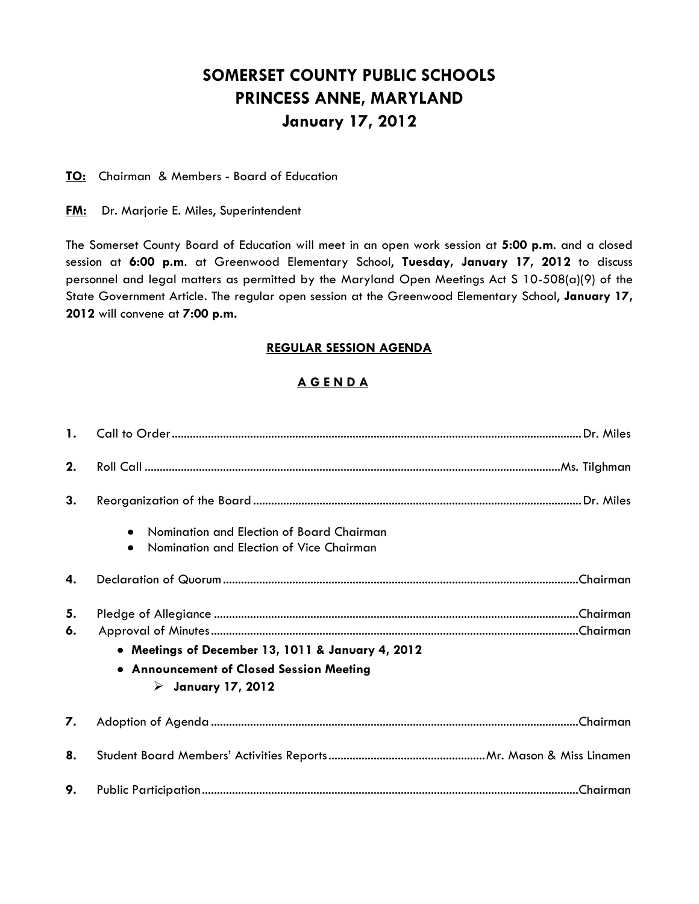# **SOMERSET COUNTY PUBLIC SCHOOLS PRINCESS ANNE, MARYLAND January 17, 2012**

#### **TO:** Chairman & Members - Board of Education

#### **FM:** Dr. Marjorie E. Miles, Superintendent

The Somerset County Board of Education will meet in an open work session at **5:00 p.m**. and a closed session at **6:00 p.m**. at Greenwood Elementary School, **Tuesday, January 17, 2012** to discuss personnel and legal matters as permitted by the Maryland Open Meetings Act S 10-508(a)(9) of the State Government Article. The regular open session at the Greenwood Elementary School, **January 17, 2012** will convene at **7:00 p.m.**

## **REGULAR SESSION AGENDA**

## **A G E N D A**

| 2.       |                                                                                                                                    |
|----------|------------------------------------------------------------------------------------------------------------------------------------|
| 3.       |                                                                                                                                    |
|          | Nomination and Election of Board Chairman<br>$\bullet$<br>Nomination and Election of Vice Chairman<br>$\bullet$                    |
| 4.       |                                                                                                                                    |
| 5.<br>6. | • Meetings of December 13, 1011 & January 4, 2012<br>. Announcement of Closed Session Meeting<br>$\triangleright$ January 17, 2012 |
| 7.       |                                                                                                                                    |
| 8.       |                                                                                                                                    |
| 9.       |                                                                                                                                    |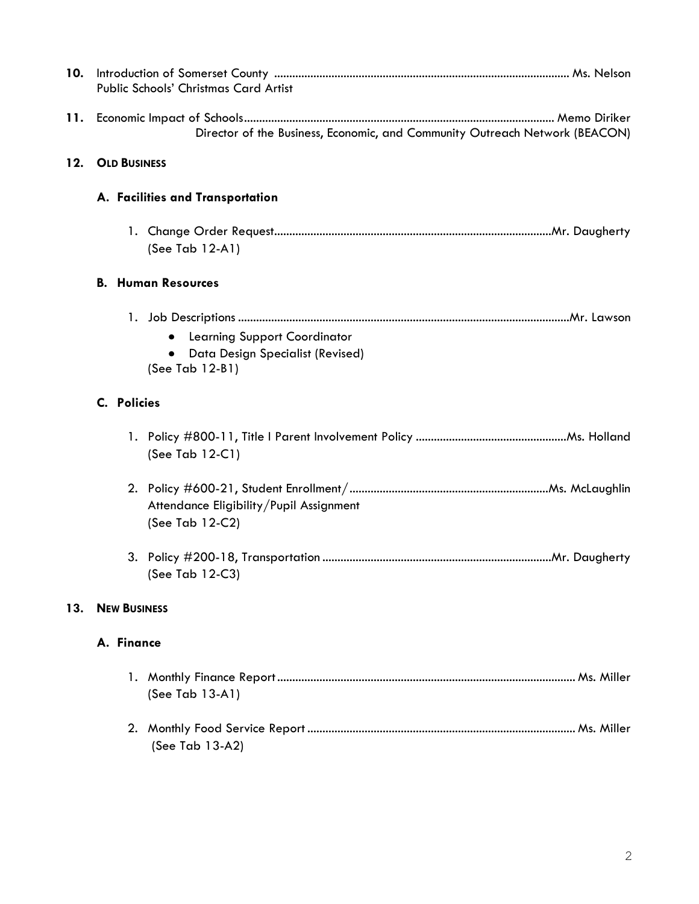| 10. | Public Schools' Christmas Card Artist                                                                   |  |  |  |  |
|-----|---------------------------------------------------------------------------------------------------------|--|--|--|--|
| 11. | Director of the Business, Economic, and Community Outreach Network (BEACON)                             |  |  |  |  |
| 12. | <b>OLD BUSINESS</b>                                                                                     |  |  |  |  |
|     | A. Facilities and Transportation                                                                        |  |  |  |  |
|     | (See Tab 12-A1)                                                                                         |  |  |  |  |
|     | <b>B. Human Resources</b>                                                                               |  |  |  |  |
|     | <b>Learning Support Coordinator</b><br>Data Design Specialist (Revised)<br>$\bullet$<br>(See Tab 12-B1) |  |  |  |  |
|     | C. Policies                                                                                             |  |  |  |  |
|     | (See Tab 12-C1)                                                                                         |  |  |  |  |
|     | Attendance Eligibility/Pupil Assignment<br>(See Tab 12-C2)                                              |  |  |  |  |
|     | (See Tab 12-C3)                                                                                         |  |  |  |  |
| 13. | <b>NEW BUSINESS</b>                                                                                     |  |  |  |  |
|     | A. Finance                                                                                              |  |  |  |  |
|     | (See Tab 13-A1)                                                                                         |  |  |  |  |
|     | (See Tab 13-A2)                                                                                         |  |  |  |  |